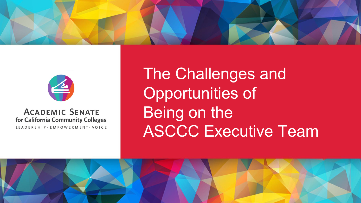



#### **ACADEMIC SENATE** for California Community Colleges LEADERSHIP · EMPOWERMENT · VOICE

The Challenges and Opportunities of Being on the **ASCCC Executive Team** 

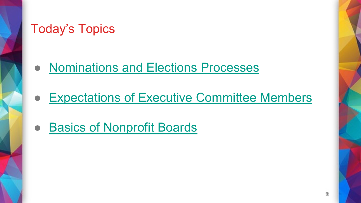# Today's Topics

- **Nominations and Elections Processes**
- **Expectations of Executive Committee Member**
- Basics of Nonprofit Boards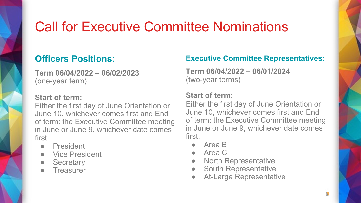# Call for Executive Committee Nominations

### **Officers Positions:**

**Term 06/04/2022 – 06/02/2023**  (one-year term)

#### **Start of term:**

Either the first day of June Orientation or June 10, whichever comes first and End of term: the Executive Committee meeting in June or June 9, whichever date comes first.

- President
- Vice President
- Secretary
- **Treasurer**

### **Executive Committee Representatives:**

**Term 06/04/2022 – 06/01/2024**  (two-year terms)

### **Start of term:**

Either the first day of June Orientation or June 10, whichever comes first and End of term: the Executive Committee meeting in June or June 9, whichever date comes first.

- Area B
- Area C
- **North Representative**
- **South Representative**
- **At-Large Representative**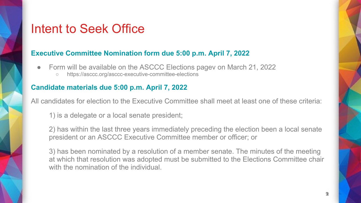### Intent to Seek Office

#### **Executive Committee Nomination form due 5:00 p.m. April 7, 2022**

- Form will be available on the ASCCC Elections pagev on March 21, 2022
	- https://asccc.org/asccc-executive-committee-elections

#### **Candidate materials due 5:00 p.m. April 7, 2022**

All candidates for election to the Executive Committee shall meet at least one of these criteria:

1) is a delegate or a local senate president;

2) has within the last three years immediately preceding the election been a local senate president or an ASCCC Executive Committee member or officer; or

3) has been nominated by a resolution of a member senate. The minutes of the meeting at which that resolution was adopted must be submitted to the Elections Committee chair with the nomination of the individual.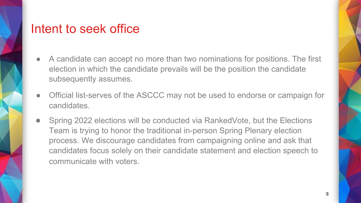### Intent to seek office

- A candidate can accept no more than two nominations for positions. The first election in which the candidate prevails will be the position the candidate subsequently assumes.
- Official list-serves of the ASCCC may not be used to endorse or campaign for candidates.
- Spring 2022 elections will be conducted via RankedVote, but the Elections Team is trying to honor the traditional in-person Spring Plenary election process. We discourage candidates from campaigning online and ask that candidates focus solely on their candidate statement and election speech to communicate with voters.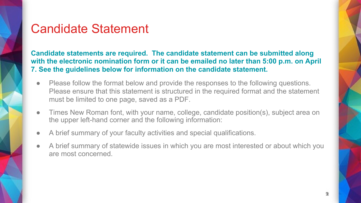### Candidate Statement

**Candidate statements are required. The candidate statement can be submitted along with the electronic nomination form or it can be emailed no later than 5:00 p.m. on April 7. See the guidelines below for information on the candidate statement.**

- Please follow the format below and provide the responses to the following questions. Please ensure that this statement is structured in the required format and the statement must be limited to one page, saved as a PDF.
- Times New Roman font, with your name, college, candidate position(s), subject area on the upper left-hand corner and the following information:
- A brief summary of your faculty activities and special qualifications.
- A brief summary of statewide issues in which you are most interested or about which you are most concerned.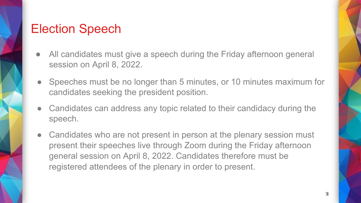## Election Speech

- All candidates must give a speech during the Friday afternoon general session on April 8, 2022.
- Speeches must be no longer than 5 minutes, or 10 minutes maximum for candidates seeking the president position.
- Candidates can address any topic related to their candidacy during the speech.
- Candidates who are not present in person at the plenary session must present their speeches live through Zoom during the Friday afternoon general session on April 8, 2022. Candidates therefore must be registered attendees of the plenary in order to present.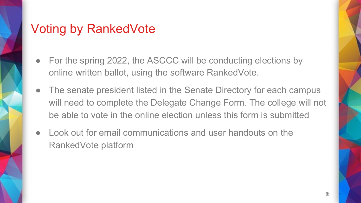## Voting by RankedVote

- For the spring 2022, the ASCCC will be conducting elections by online written ballot, using the software RankedVote.
- The senate president listed in the Senate Directory for each campus will need to complete the Delegate Change Form. The college will not be able to vote in the online election unless this form is submitted
- Look out for email communications and user handouts on the RankedVote platform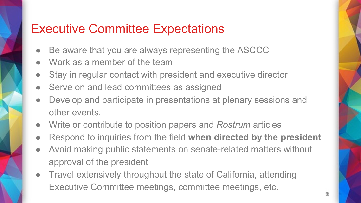## Executive Committee Expectations

- Be aware that you are always representing the ASCCC
- Work as a member of the team
- Stay in regular contact with president and executive director
- Serve on and lead committees as assigned
- Develop and participate in presentations at plenary sessions and other events.
- Write or contribute to position papers and *Rostrum* articles
- Respond to inquiries from the field when directed by the president
- Avoid making public statements on senate-related matters without approval of the president
- Travel extensively throughout the state of California, attending Executive Committee meetings, committee meetings, etc.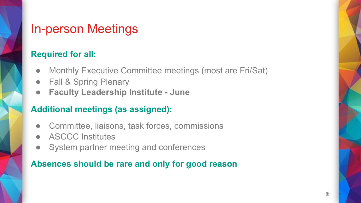### In-person Meetings

### **Required for all:**

- Monthly Executive Committee meetings (most are Fri/Sat)
- **Fall & Spring Plenary**
- **Faculty Leadership Institute - June**

### **Additional meetings (as assigned):**

- Committee, liaisons, task forces, commissions
- ASCCC Institutes
- System partner meeting and conferences

### **Absences should be rare and only for good reason**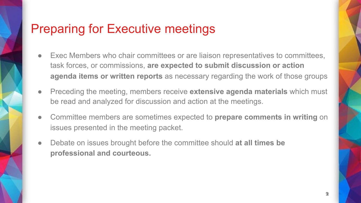## Preparing for Executive meetings

- Exec Members who chair committees or are liaison representatives to committees, task forces, or commissions, **are expected to submit discussion or action agenda items or written reports** as necessary regarding the work of those groups
- Preceding the meeting, members receive **extensive agenda materials** which must be read and analyzed for discussion and action at the meetings.
- Committee members are sometimes expected to **prepare comments in writing** on issues presented in the meeting packet.
- Debate on issues brought before the committee should at all times be **professional and courteous.**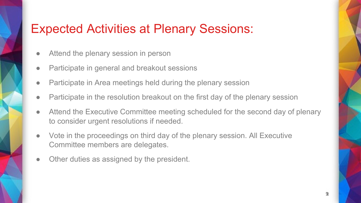## Expected Activities at Plenary Sessions:

- Attend the plenary session in person
- Participate in general and breakout sessions
- Participate in Area meetings held during the plenary session
- Participate in the resolution breakout on the first day of the plenary session
- Attend the Executive Committee meeting scheduled for the second day of plenary to consider urgent resolutions if needed.
- Vote in the proceedings on third day of the plenary session. All Executive Committee members are delegates.
- Other duties as assigned by the president.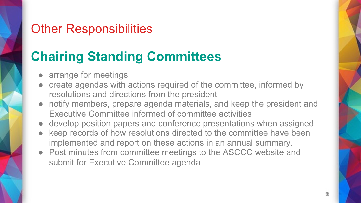## Other Responsibilities

# **Chairing Standing Committees**

- arrange for meetings
- create agendas with actions required of the committee, informed by resolutions and directions from the president
- notify members, prepare agenda materials, and keep the president and Executive Committee informed of committee activities
- develop position papers and conference presentations when assigned
- keep records of how resolutions directed to the committee have been implemented and report on these actions in an annual summary.
- Post minutes from committee meetings to the ASCCC website and submit for Executive Committee agenda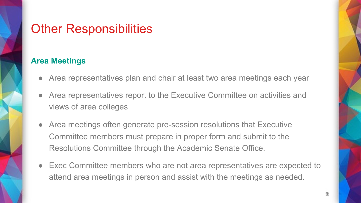## **Other Responsibilities**

### **Area Meetings**

- Area representatives plan and chair at least two area meetings each year
- Area representatives report to the Executive Committee on activities and views of area colleges
- Area meetings often generate pre-session resolutions that Executive Committee members must prepare in proper form and submit to the Resolutions Committee through the Academic Senate Office.
- Exec Committee members who are not area representatives are expected to attend area meetings in person and assist with the meetings as needed.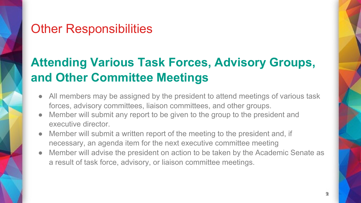## Other Responsibilities

# **Attending Various Task Forces, Advisory Groups, and Other Committee Meetings**

- All members may be assigned by the president to attend meetings of various task forces, advisory committees, liaison committees, and other groups.
- Member will submit any report to be given to the group to the president and executive director.
- Member will submit a written report of the meeting to the president and, if necessary, an agenda item for the next executive committee meeting
- Member will advise the president on action to be taken by the Academic Senate as a result of task force, advisory, or liaison committee meetings.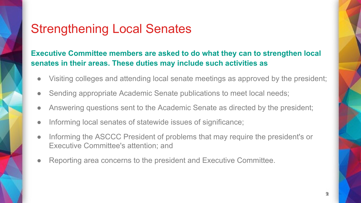## Strengthening Local Senates

### **Executive Committee members are asked to do what they can to strengthen local senates in their areas. These duties may include such activities as**

- Visiting colleges and attending local senate meetings as approved by the president;
- Sending appropriate Academic Senate publications to meet local needs;
- Answering questions sent to the Academic Senate as directed by the president;
- Informing local senates of statewide issues of significance;
- Informing the ASCCC President of problems that may require the president's or Executive Committee's attention; and
- Reporting area concerns to the president and Executive Committee.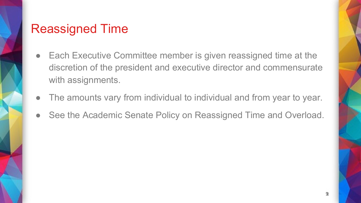## Reassigned Time

- Each Executive Committee member is given reassigned time at the discretion of the president and executive director and commensurate with assignments.
- The amounts vary from individual to individual and from year to year.
- See the Academic Senate Policy on Reassigned Time and Overload.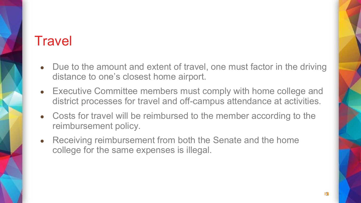# **Travel**

- Due to the amount and extent of travel, one must factor in the driving distance to one's closest home airport.
- Executive Committee members must comply with home college and district processes for travel and off-campus attendance at activities.
- Costs for travel will be reimbursed to the member according to the reimbursement policy.
- Receiving reimbursement from both the Senate and the home college for the same expenses is illegal.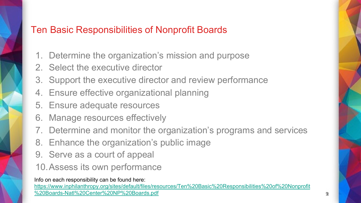### Ten Basic Responsibilities of Nonprofit Boards

- 1. Determine the organization's mission and purpose
- 2. Select the executive director
- 3. Support the executive director and review performance
- 4. Ensure effective organizational planning
- 5. Ensure adequate resources
- 6. Manage resources effectively
- 7. Determine and monitor the organization's programs and services
- 8. Enhance the organization's public image
- 9. Serve as a court of appeal
- 10.Assess its own performance

Info on each responsibility can be found here:

https://www.inphilanthropy.org/sites/default/files/resources/Ten%20Basic%20Responsibilities%20of%20Nonprof %20Boards-Natl%20Center%20NP%20Boards.pdf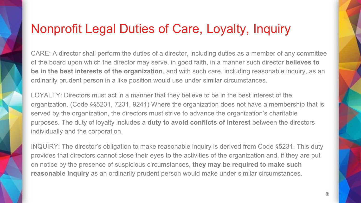# Nonprofit Legal Duties of Care, Loyalty, Inquiry

CARE: A director shall perform the duties of a director, including duties as a member of any con of the board upon which the director may serve, in good faith, in a manner such director **believes to be in the best interests of the organization**, and with such care, including reasonable inquiry, ordinarily prudent person in a like position would use under similar circumstances.

LOYALTY: Directors must act in a manner that they believe to be in the best interest of the organization. (Code §§5231, 7231, 9241) Where the organization does not have a membership served by the organization, the directors must strive to advance the organization's charitable purposes. The duty of loyalty includes a **duty to avoid conflicts of interest** between the directe individually and the corporation.

INQUIRY: The director's obligation to make reasonable inquiry is derived from Code §5231. This provides that directors cannot close their eyes to the activities of the organization and, if they are on notice by the presence of suspicious circumstances, **they may be required to make such reasonable inquiry** as an ordinarily prudent person would make under similar circumstances.